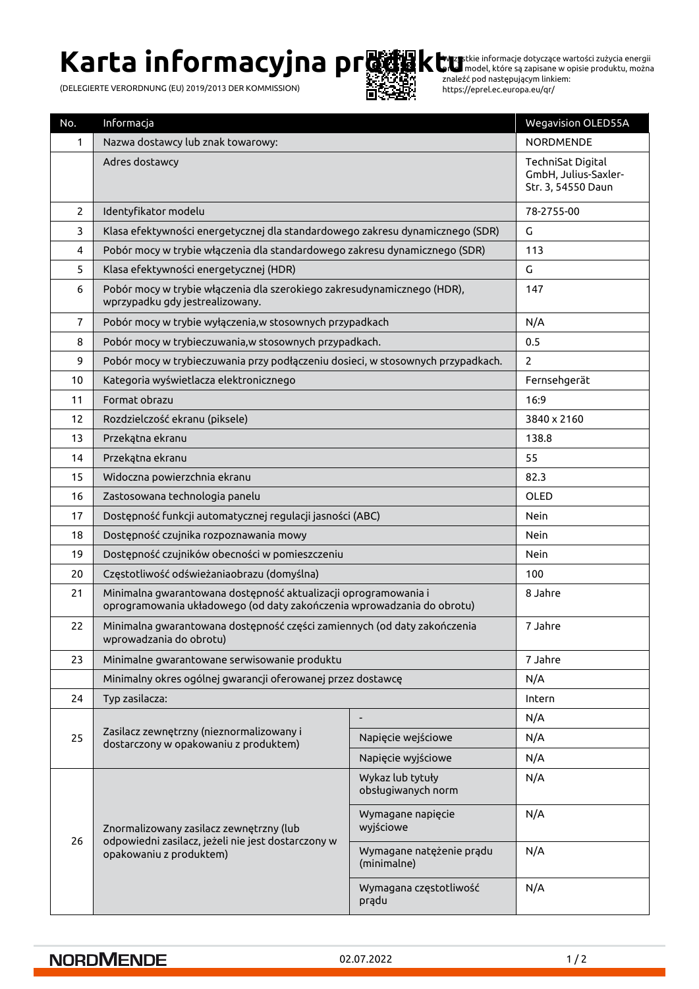# **Karta informacyjna produktu**

(DELEGIERTE VERORDNUNG (EU) 2019/2013 DER KOMMISSION)



Wszystkie informacje dotyczące wartości zużycia energii przez model, które są zapisane w opisie produktu, można znaleźć pod następującym linkiem: https://eprel.ec.europa.eu/qr/

| No.             | Informacja                                                                                                                                |                                         | <b>Wegavision OLED55A</b>                                       |
|-----------------|-------------------------------------------------------------------------------------------------------------------------------------------|-----------------------------------------|-----------------------------------------------------------------|
| 1               | Nazwa dostawcy lub znak towarowy:                                                                                                         |                                         | <b>NORDMENDE</b>                                                |
|                 | Adres dostawcy                                                                                                                            |                                         | TechniSat Digital<br>GmbH, Julius-Saxler-<br>Str. 3, 54550 Daun |
| $\overline{2}$  | Identyfikator modelu                                                                                                                      |                                         | 78-2755-00                                                      |
| 3               | Klasa efektywności energetycznej dla standardowego zakresu dynamicznego (SDR)                                                             |                                         | G                                                               |
| 4               | Pobór mocy w trybie włączenia dla standardowego zakresu dynamicznego (SDR)                                                                |                                         | 113                                                             |
| 5               | Klasa efektywności energetycznej (HDR)                                                                                                    |                                         | G                                                               |
| 6               | Pobór mocy w trybie włączenia dla szerokiego zakresudynamicznego (HDR),<br>wprzypadku gdy jestrealizowany.                                |                                         | 147                                                             |
| $\overline{7}$  | Pobór mocy w trybie wyłączenia, w stosownych przypadkach                                                                                  |                                         | N/A                                                             |
| 8               | Pobór mocy w trybieczuwania, w stosownych przypadkach.                                                                                    |                                         | 0.5                                                             |
| 9               | Pobór mocy w trybieczuwania przy podłączeniu dosieci, w stosownych przypadkach.                                                           |                                         | $\overline{2}$                                                  |
| 10 <sup>1</sup> | Kategoria wyświetlacza elektronicznego                                                                                                    |                                         | Fernsehgerät                                                    |
| 11              | Format obrazu                                                                                                                             |                                         | 16:9                                                            |
| 12              | Rozdzielczość ekranu (piksele)                                                                                                            |                                         | 3840 x 2160                                                     |
| 13              | Przekątna ekranu                                                                                                                          |                                         | 138.8                                                           |
| 14              | Przekątna ekranu                                                                                                                          |                                         | 55                                                              |
| 15              | Widoczna powierzchnia ekranu                                                                                                              |                                         | 82.3                                                            |
| 16              | Zastosowana technologia panelu                                                                                                            |                                         | OLED                                                            |
| 17              | Dostępność funkcji automatycznej regulacji jasności (ABC)                                                                                 |                                         | Nein                                                            |
| 18              | Dostępność czujnika rozpoznawania mowy                                                                                                    |                                         | Nein                                                            |
| 19              | Dostępność czujników obecności w pomieszczeniu                                                                                            |                                         | Nein                                                            |
| 20              | Częstotliwość odświeżaniaobrazu (domyślna)                                                                                                |                                         | 100                                                             |
| 21              | Minimalna gwarantowana dostępność aktualizacji oprogramowania i<br>oprogramowania układowego (od daty zakończenia wprowadzania do obrotu) |                                         | 8 Jahre                                                         |
| 22              | Minimalna gwarantowana dostępność części zamiennych (od daty zakończenia<br>wprowadzania do obrotu)                                       |                                         | 7 Jahre                                                         |
| 23              | Minimalne gwarantowane serwisowanie produktu                                                                                              |                                         | 7 Jahre                                                         |
|                 | Minimalny okres ogólnej gwarancji oferowanej przez dostawcę                                                                               |                                         | N/A                                                             |
| 24              | Typ zasilacza:                                                                                                                            |                                         | Intern                                                          |
|                 | Zasilacz zewnętrzny (nieznormalizowany i<br>dostarczony w opakowaniu z produktem)                                                         |                                         | N/A                                                             |
| 25              |                                                                                                                                           | Napięcie wejściowe                      | N/A                                                             |
|                 |                                                                                                                                           | Napięcie wyjściowe                      | N/A                                                             |
| 26              | Znormalizowany zasilacz zewnętrzny (lub<br>odpowiedni zasilacz, jeżeli nie jest dostarczony w<br>opakowaniu z produktem)                  | Wykaz lub tytuły<br>obsługiwanych norm  | N/A                                                             |
|                 |                                                                                                                                           | Wymagane napięcie<br>wyjściowe          | N/A                                                             |
|                 |                                                                                                                                           | Wymagane natężenie prądu<br>(minimalne) | N/A                                                             |
|                 |                                                                                                                                           | Wymagana częstotliwość<br>prądu         | N/A                                                             |

#### **NORDMENDE**